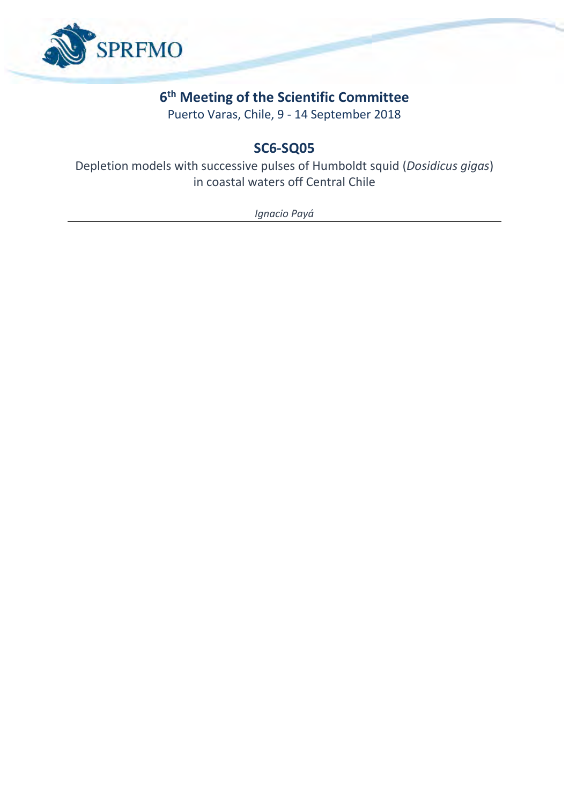

# **6 th Meeting of the Scientific Committee**

Puerto Varas, Chile, 9 - 14 September 2018

# **SC6-SQ05**

Depletion models with successive pulses of Humboldt squid (*Dosidicus gigas*) in coastal waters off Central Chile

*Ignacio Payá*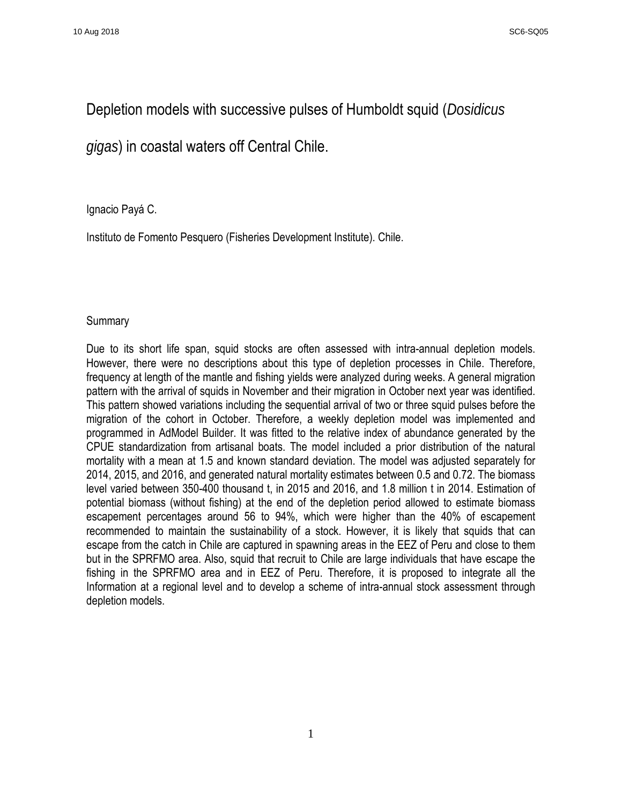## Depletion models with successive pulses of Humboldt squid (*Dosidicus*

## *gigas*) in coastal waters off Central Chile.

## Ignacio Payá C.

Instituto de Fomento Pesquero (Fisheries Development Institute). Chile.

### **Summary**

Due to its short life span, squid stocks are often assessed with intra-annual depletion models. However, there were no descriptions about this type of depletion processes in Chile. Therefore, frequency at length of the mantle and fishing yields were analyzed during weeks. A general migration pattern with the arrival of squids in November and their migration in October next year was identified. This pattern showed variations including the sequential arrival of two or three squid pulses before the migration of the cohort in October. Therefore, a weekly depletion model was implemented and programmed in AdModel Builder. It was fitted to the relative index of abundance generated by the CPUE standardization from artisanal boats. The model included a prior distribution of the natural mortality with a mean at 1.5 and known standard deviation. The model was adjusted separately for 2014, 2015, and 2016, and generated natural mortality estimates between 0.5 and 0.72. The biomass level varied between 350-400 thousand t, in 2015 and 2016, and 1.8 million t in 2014. Estimation of potential biomass (without fishing) at the end of the depletion period allowed to estimate biomass escapement percentages around 56 to 94%, which were higher than the 40% of escapement recommended to maintain the sustainability of a stock. However, it is likely that squids that can escape from the catch in Chile are captured in spawning areas in the EEZ of Peru and close to them but in the SPRFMO area. Also, squid that recruit to Chile are large individuals that have escape the fishing in the SPRFMO area and in EEZ of Peru. Therefore, it is proposed to integrate all the Information at a regional level and to develop a scheme of intra-annual stock assessment through depletion models.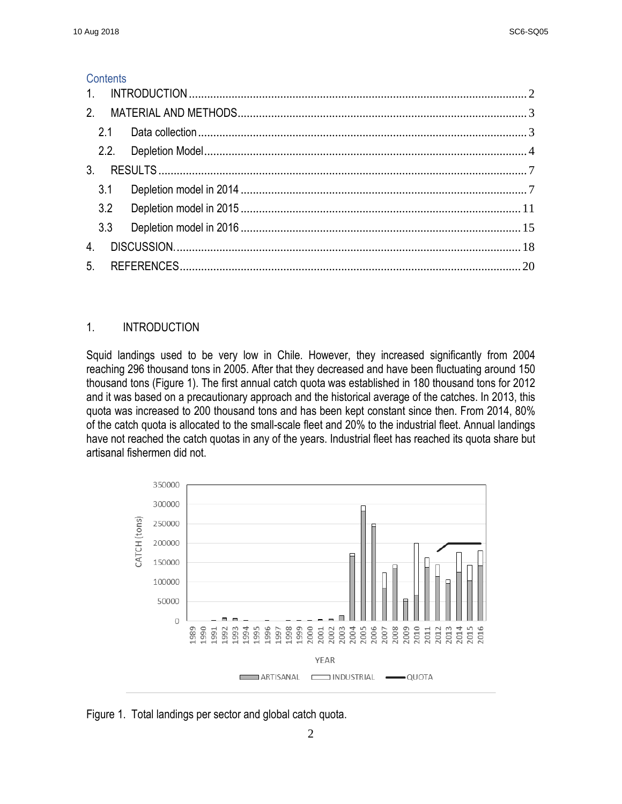## **Contents**

| 3 <sup>1</sup> |     |  |
|----------------|-----|--|
|                | 3.1 |  |
|                | 3.2 |  |
|                | 3.3 |  |
| $\overline{4}$ |     |  |
|                |     |  |

## <span id="page-2-0"></span>1. INTRODUCTION

Squid landings used to be very low in Chile. However, they increased significantly from 2004 reaching 296 thousand tons in 2005. After that they decreased and have been fluctuating around 150 thousand tons (Figure 1). The first annual catch quota was established in 180 thousand tons for 2012 and it was based on a precautionary approach and the historical average of the catches. In 2013, this quota was increased to 200 thousand tons and has been kept constant since then. From 2014, 80% of the catch quota is allocated to the small-scale fleet and 20% to the industrial fleet. Annual landings have not reached the catch quotas in any of the years. Industrial fleet has reached its quota share but artisanal fishermen did not.



Figure 1. Total landings per sector and global catch quota.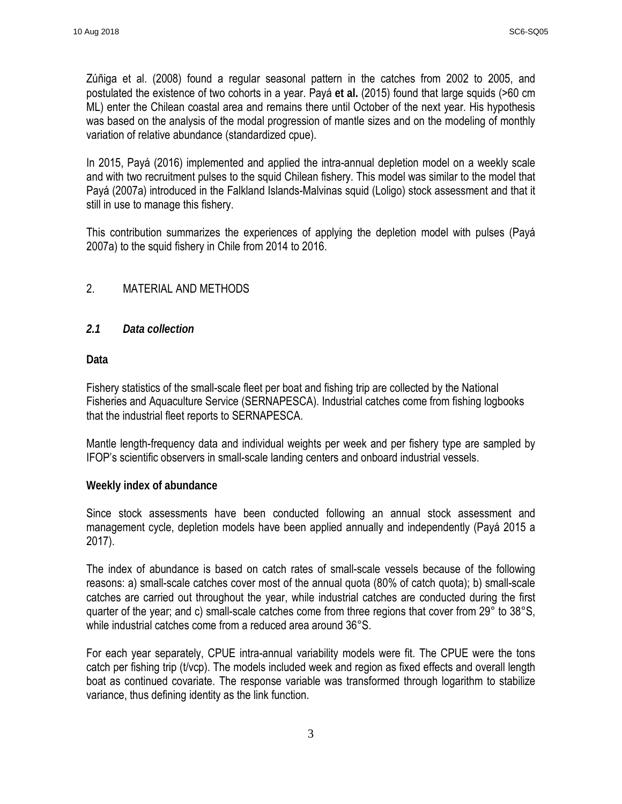Zúñiga et al. (2008) found a regular seasonal pattern in the catches from 2002 to 2005, and postulated the existence of two cohorts in a year. Payá **et al.** (2015) found that large squids (>60 cm ML) enter the Chilean coastal area and remains there until October of the next year. His hypothesis was based on the analysis of the modal progression of mantle sizes and on the modeling of monthly variation of relative abundance (standardized cpue).

In 2015, Payá (2016) implemented and applied the intra-annual depletion model on a weekly scale and with two recruitment pulses to the squid Chilean fishery. This model was similar to the model that Payá (2007a) introduced in the Falkland Islands-Malvinas squid (Loligo) stock assessment and that it still in use to manage this fishery.

This contribution summarizes the experiences of applying the depletion model with pulses (Payá 2007a) to the squid fishery in Chile from 2014 to 2016.

## <span id="page-3-0"></span>2. MATERIAL AND METHODS

## <span id="page-3-1"></span>*2.1 Data collection*

**Data**

Fishery statistics of the small-scale fleet per boat and fishing trip are collected by the National Fisheries and Aquaculture Service (SERNAPESCA). Industrial catches come from fishing logbooks that the industrial fleet reports to SERNAPESCA.

Mantle length-frequency data and individual weights per week and per fishery type are sampled by IFOP's scientific observers in small-scale landing centers and onboard industrial vessels.

## **Weekly index of abundance**

Since stock assessments have been conducted following an annual stock assessment and management cycle, depletion models have been applied annually and independently (Payá 2015 a 2017).

The index of abundance is based on catch rates of small-scale vessels because of the following reasons: a) small-scale catches cover most of the annual quota (80% of catch quota); b) small-scale catches are carried out throughout the year, while industrial catches are conducted during the first quarter of the year; and c) small-scale catches come from three regions that cover from 29° to 38°S, while industrial catches come from a reduced area around 36°S.

For each year separately, CPUE intra-annual variability models were fit. The CPUE were the tons catch per fishing trip (t/vcp). The models included week and region as fixed effects and overall length boat as continued covariate. The response variable was transformed through logarithm to stabilize variance, thus defining identity as the link function.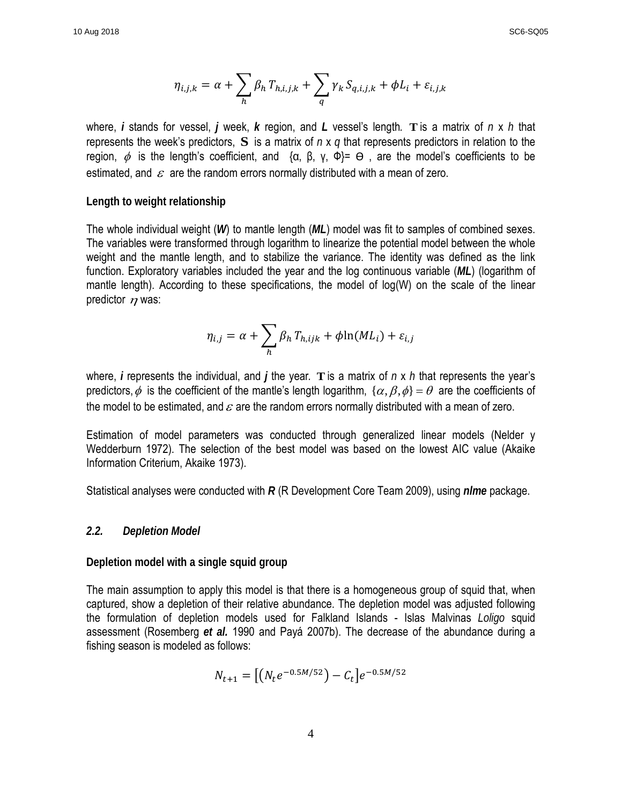$$
\eta_{i,j,k} = \alpha + \sum_{h} \beta_h T_{h,i,j,k} + \sum_{q} \gamma_k S_{q,i,j,k} + \phi L_i + \varepsilon_{i,j,k}
$$

where, *i* stands for vessel, *j* week, *k* region, and *L* vessel's length*.* **T** is a matrix of *n* x *h* that represents the week's predictors, **S** is a matrix of *n* x *q* that represents predictors in relation to the region,  $\phi$  is the length's coefficient, and {α, β, γ, Φ}=  $\Theta$ , are the model's coefficients to be estimated, and  $\varepsilon$  are the random errors normally distributed with a mean of zero.

#### **Length to weight relationship**

The whole individual weight (*W*) to mantle length (*ML*) model was fit to samples of combined sexes. The variables were transformed through logarithm to linearize the potential model between the whole weight and the mantle length, and to stabilize the variance. The identity was defined as the link function. Exploratory variables included the year and the log continuous variable (*ML*) (logarithm of mantle length). According to these specifications, the model of log(W) on the scale of the linear predictor  $n$  was:

$$
\eta_{i,j} = \alpha + \sum_{h} \beta_h T_{h,ijk} + \phi \ln(M L_i) + \varepsilon_{i,j}
$$

where, *i* represents the individual, and *j* the year*.* **T** is a matrix of *n* x *h* that represents the year's predictors,  $\phi$  is the coefficient of the mantle's length logarithm,  $\{\alpha, \beta, \phi\} = \theta$  are the coefficients of the model to be estimated, and  $\varepsilon$  are the random errors normally distributed with a mean of zero.

Estimation of model parameters was conducted through generalized linear models (Nelder y Wedderburn 1972). The selection of the best model was based on the lowest AIC value (Akaike Information Criterium, Akaike 1973).

Statistical analyses were conducted with *R* (R Development Core Team 2009), using *nlme* package.

#### <span id="page-4-0"></span>*2.2. Depletion Model*

#### **Depletion model with a single squid group**

The main assumption to apply this model is that there is a homogeneous group of squid that, when captured, show a depletion of their relative abundance. The depletion model was adjusted following the formulation of depletion models used for Falkland Islands - Islas Malvinas *Loligo* squid assessment (Rosemberg *et al.* 1990 and Payá 2007b). The decrease of the abundance during a fishing season is modeled as follows:

$$
N_{t+1} = [(N_t e^{-0.5M/52}) - C_t]e^{-0.5M/52}
$$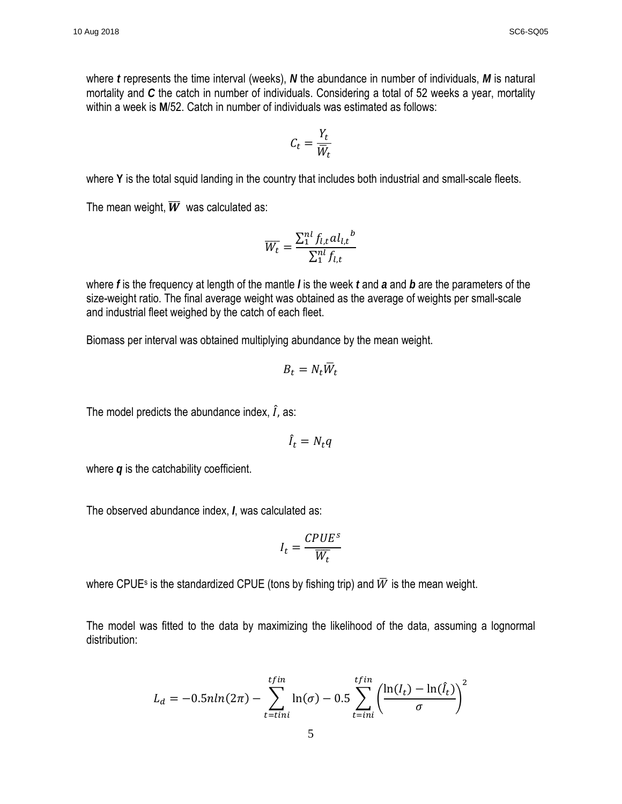where *t* represents the time interval (weeks), *N* the abundance in number of individuals, *M* is natural mortality and *C* the catch in number of individuals. Considering a total of 52 weeks a year, mortality within a week is **M**/52. Catch in number of individuals was estimated as follows:

$$
C_t = \frac{Y_t}{\overline{W}_t}
$$

where Y is the total squid landing in the country that includes both industrial and small-scale fleets.

The mean weight,  $\overline{W}$  was calculated as:

$$
\overline{W_t} = \frac{\sum_1^{nl} f_{l,t} a l_{l,t}}{\sum_1^{nl} f_{l,t}}
$$

where *f* is the frequency at length of the mantle *l* is the week *t* and *a* and *b* are the parameters of the size-weight ratio. The final average weight was obtained as the average of weights per small-scale and industrial fleet weighed by the catch of each fleet.

Biomass per interval was obtained multiplying abundance by the mean weight.

$$
B_t = N_t \overline{W}_t
$$

The model predicts the abundance index,  $\ddot{I}$ , as:

$$
\hat{I}_t = N_t q
$$

where *q* is the catchability coefficient.

The observed abundance index, *I*, was calculated as:

$$
I_t = \frac{CPUE^s}{W_t}
$$

where CPUE<sup>s</sup> is the standardized CPUE (tons by fishing trip) and  $\overline{W}$  is the mean weight.

The model was fitted to the data by maximizing the likelihood of the data, assuming a lognormal distribution:

$$
L_d = -0.5nln(2\pi) - \sum_{t = tini}^{tfin} \ln(\sigma) - 0.5 \sum_{t = ini}^{tfin} \left(\frac{\ln(I_t) - \ln(\hat{I}_t)}{\sigma}\right)^2
$$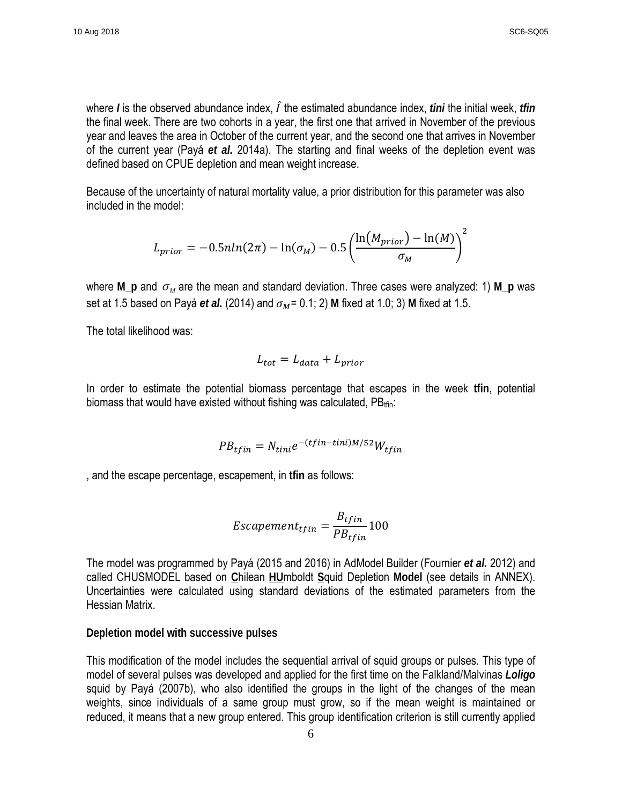where *I* is the observed abundance index, *I* the estimated abundance index, *tini* the initial week, *tfin* the final week. There are two cohorts in a year, the first one that arrived in November of the previous year and leaves the area in October of the current year, and the second one that arrives in November of the current year (Payá *et al.* 2014a). The starting and final weeks of the depletion event was defined based on CPUE depletion and mean weight increase.

Because of the uncertainty of natural mortality value, a prior distribution for this parameter was also included in the model:

$$
L_{prior} = -0.5nln(2\pi) - \ln(\sigma_M) - 0.5\left(\frac{\ln(M_{prior}) - \ln(M)}{\sigma_M}\right)^2
$$

where M\_p and  $\sigma_M$  are the mean and standard deviation. Three cases were analyzed: 1) M\_p was set at 1.5 based on Payá *et al.* (2014) and  $\sigma_M$  = 0.1; 2) M fixed at 1.0; 3) M fixed at 1.5.

The total likelihood was:

$$
L_{tot} = L_{data} + L_{prior}
$$

In order to estimate the potential biomass percentage that escapes in the week **tfin**, potential biomass that would have existed without fishing was calculated,  $PB_{tfin}$ :

$$
PB_{tfin} = N_{tini}e^{-(tfin-tini)M/52}W_{tfin}
$$

, and the escape percentage, escapement, in **tfin** as follows:

$$
Escapement_{tfin} = \frac{B_{tfin}}{PB_{tfin}} 100
$$

The model was programmed by Payá (2015 and 2016) in AdModel Builder (Fournier *et al.* 2012) and called CHUSMODEL based on **C**hilean **HU**mboldt **S**quid Depletion **Model** (see details in ANNEX). Uncertainties were calculated using standard deviations of the estimated parameters from the Hessian Matrix.

**Depletion model with successive pulses**

This modification of the model includes the sequential arrival of squid groups or pulses. This type of model of several pulses was developed and applied for the first time on the Falkland/Malvinas *Loligo*  squid by Payá (2007b), who also identified the groups in the light of the changes of the mean weights, since individuals of a same group must grow, so if the mean weight is maintained or reduced, it means that a new group entered. This group identification criterion is still currently applied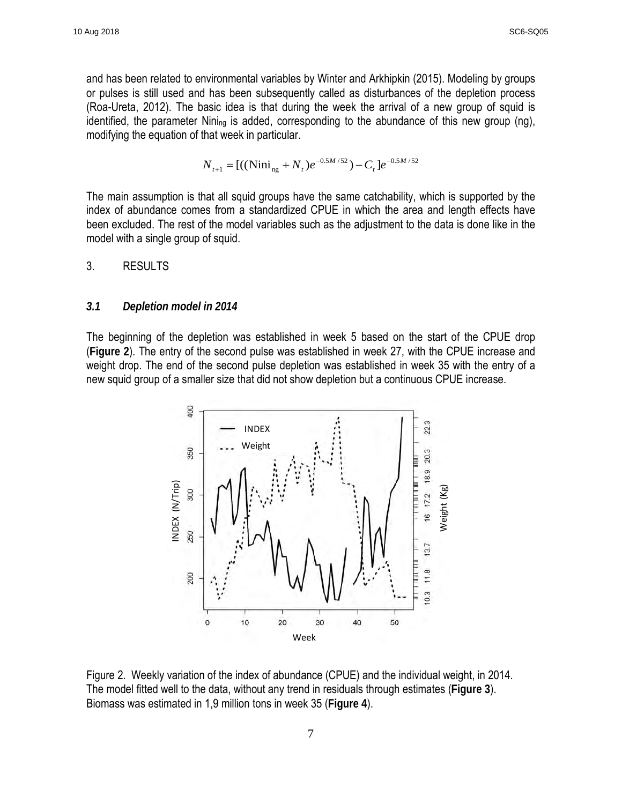and has been related to environmental variables by Winter and Arkhipkin (2015). Modeling by groups or pulses is still used and has been subsequently called as disturbances of the depletion process (Roa-Ureta, 2012). The basic idea is that during the week the arrival of a new group of squid is identified, the parameter Nini<sub>ng</sub> is added, corresponding to the abundance of this new group (ng), modifying the equation of that week in particular.

$$
N_{t+1} = [((\text{Nini}_{ng} + N_t)e^{-0.5M/52}) - C_t]e^{-0.5M/52}
$$

The main assumption is that all squid groups have the same catchability, which is supported by the index of abundance comes from a standardized CPUE in which the area and length effects have been excluded. The rest of the model variables such as the adjustment to the data is done like in the model with a single group of squid.

## <span id="page-7-0"></span>3. RESULTS

#### <span id="page-7-1"></span>*3.1 Depletion model in 2014*

The beginning of the depletion was established in week 5 based on the start of the CPUE drop (**Figure 2**). The entry of the second pulse was established in week 27, with the CPUE increase and weight drop. The end of the second pulse depletion was established in week 35 with the entry of a new squid group of a smaller size that did not show depletion but a continuous CPUE increase.



Figure 2. Weekly variation of the index of abundance (CPUE) and the individual weight, in 2014. The model fitted well to the data, without any trend in residuals through estimates (**Figure 3**). Biomass was estimated in 1,9 million tons in week 35 (**Figure 4**).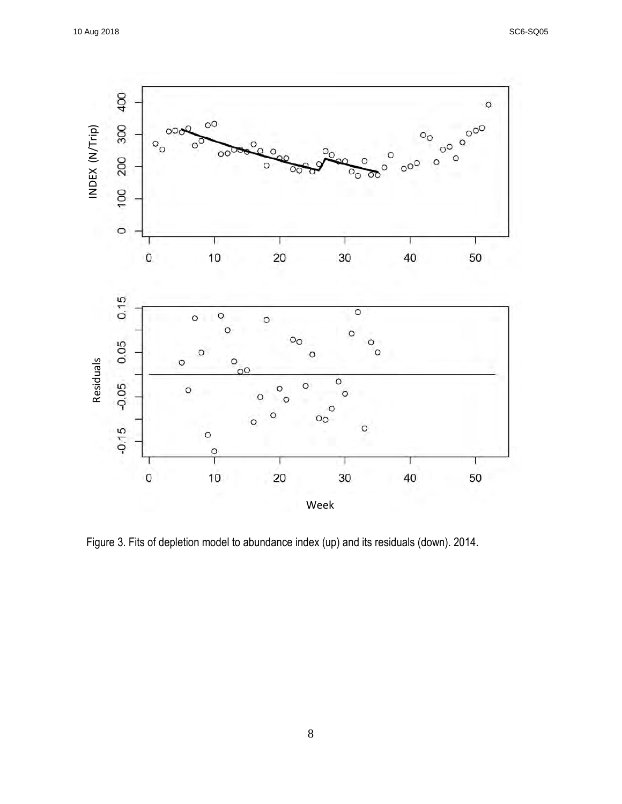

Figure 3. Fits of depletion model to abundance index (up) and its residuals (down). 2014.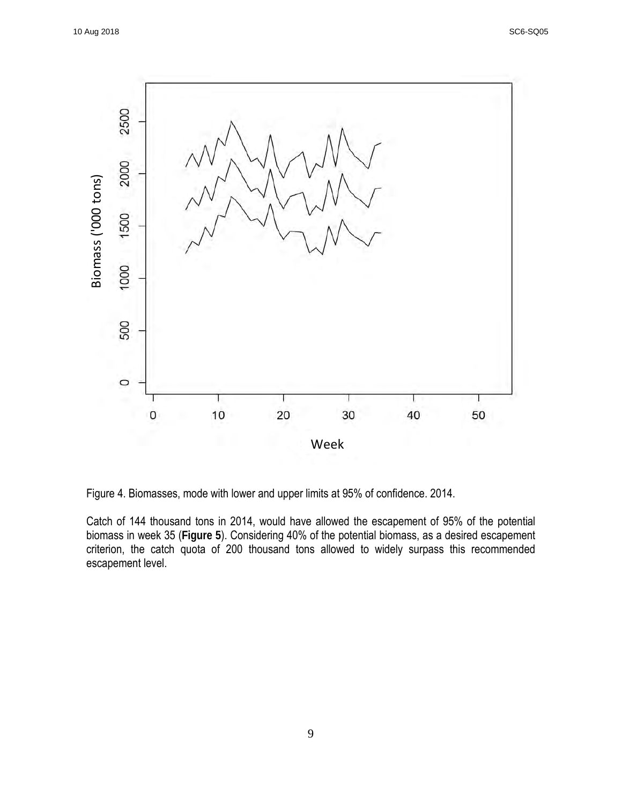

Figure 4. Biomasses, mode with lower and upper limits at 95% of confidence. 2014.

Catch of 144 thousand tons in 2014, would have allowed the escapement of 95% of the potential biomass in week 35 (**Figure 5**). Considering 40% of the potential biomass, as a desired escapement criterion, the catch quota of 200 thousand tons allowed to widely surpass this recommended escapement level.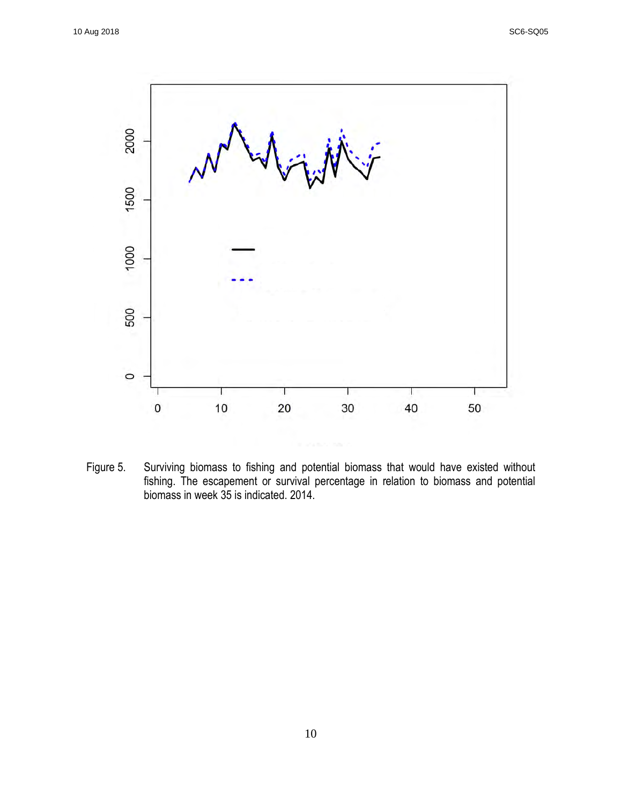

Figure 5. Surviving biomass to fishing and potential biomass that would have existed without fishing. The escapement or survival percentage in relation to biomass and potential biomass in week 35 is indicated. 2014.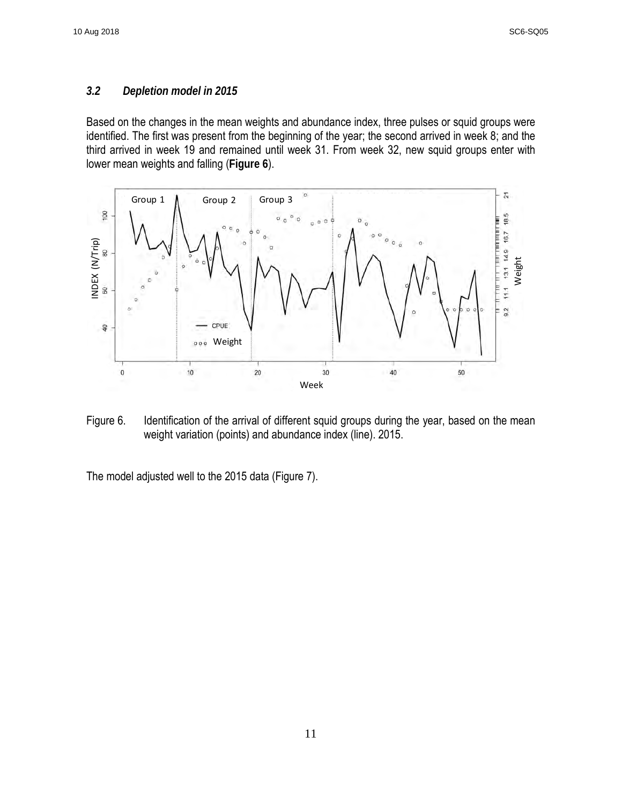### <span id="page-11-0"></span>*3.2 Depletion model in 2015*

Based on the changes in the mean weights and abundance index, three pulses or squid groups were identified. The first was present from the beginning of the year; the second arrived in week 8; and the third arrived in week 19 and remained until week 31. From week 32, new squid groups enter with lower mean weights and falling (**Figure 6**).



Figure 6. Identification of the arrival of different squid groups during the year, based on the mean weight variation (points) and abundance index (line). 2015.

The model adjusted well to the 2015 data (Figure 7).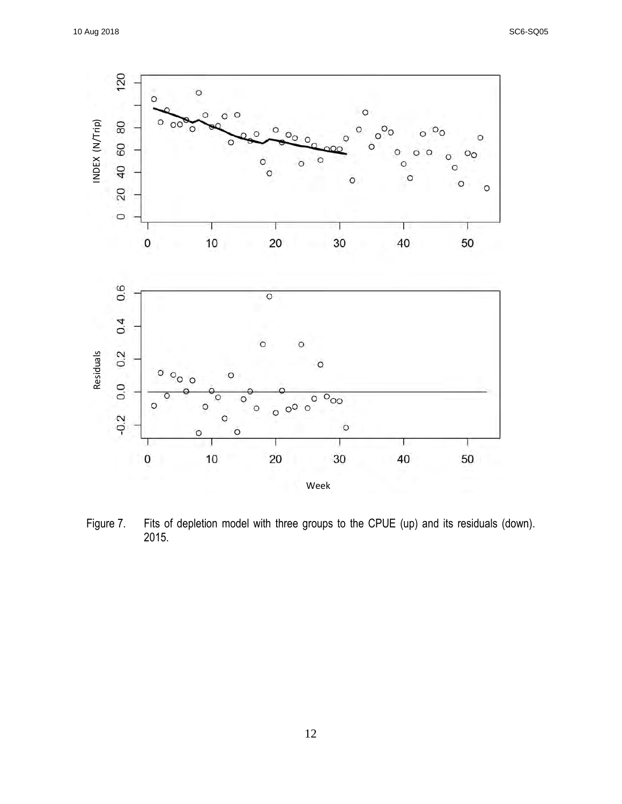

Figure 7. Fits of depletion model with three groups to the CPUE (up) and its residuals (down). 2015.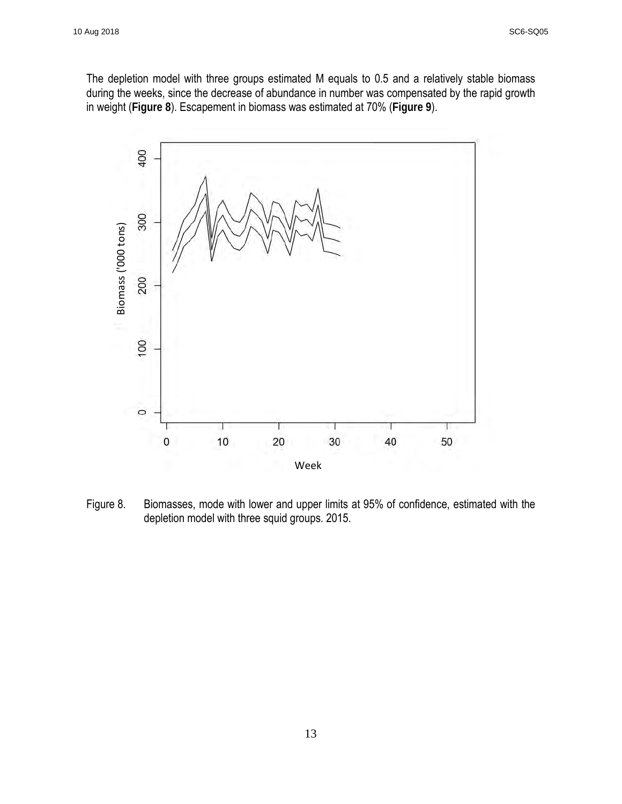The depletion model with three groups estimated M equals to 0.5 and a relatively stable biomass during the weeks, since the decrease of abundance in number was compensated by the rapid growth in weight (**Figure 8**). Escapement in biomass was estimated at 70% (**Figure 9**).



Figure 8. Biomasses, mode with lower and upper limits at 95% of confidence, estimated with the depletion model with three squid groups. 2015.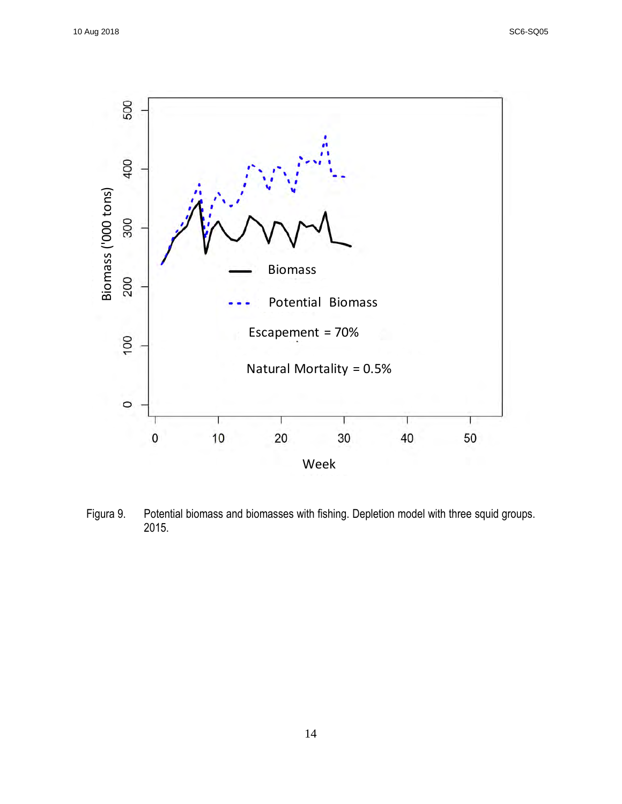

Figura 9. Potential biomass and biomasses with fishing. Depletion model with three squid groups. 2015.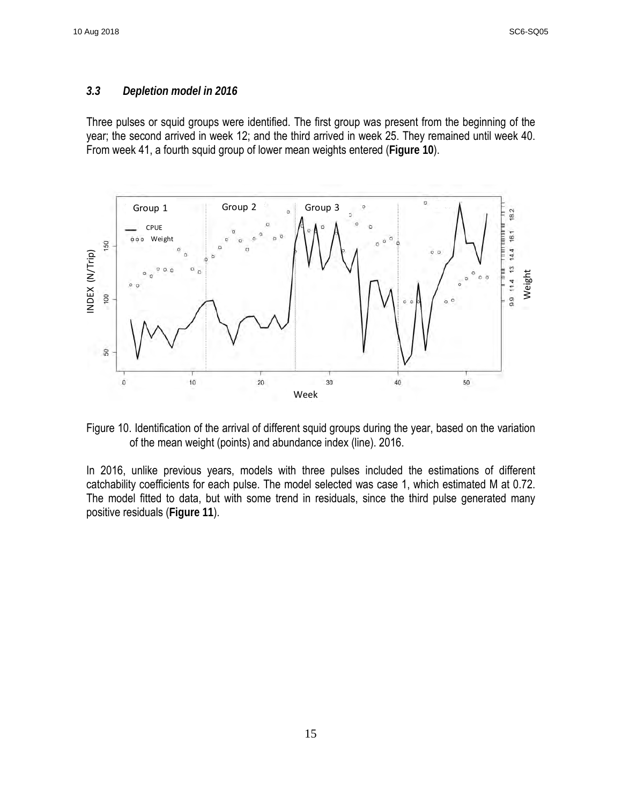### <span id="page-15-0"></span>*3.3 Depletion model in 2016*

Three pulses or squid groups were identified. The first group was present from the beginning of the year; the second arrived in week 12; and the third arrived in week 25. They remained until week 40. From week 41, a fourth squid group of lower mean weights entered (**Figure 10**).



Figure 10. Identification of the arrival of different squid groups during the year, based on the variation of the mean weight (points) and abundance index (line). 2016.

In 2016, unlike previous years, models with three pulses included the estimations of different catchability coefficients for each pulse. The model selected was case 1, which estimated M at 0.72. The model fitted to data, but with some trend in residuals, since the third pulse generated many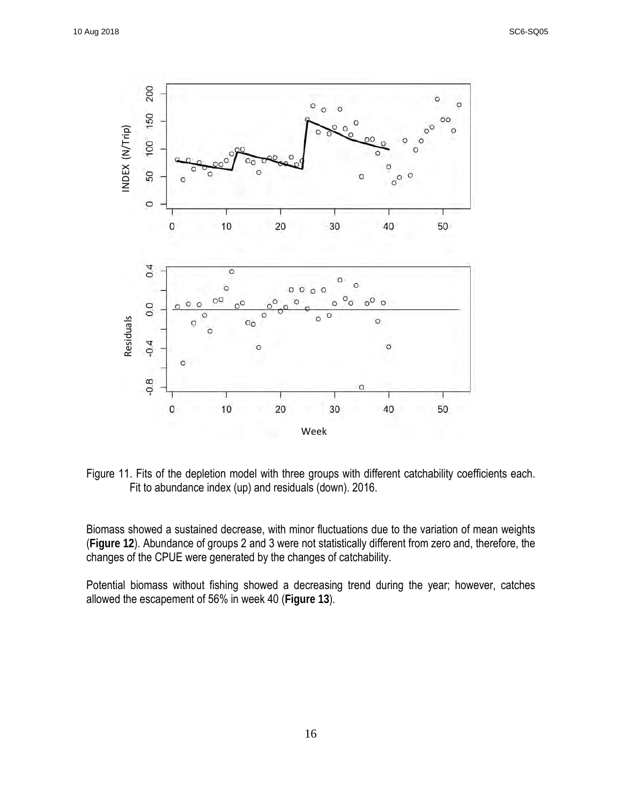

Figure 11. Fits of the depletion model with three groups with different catchability coefficients each. Fit to abundance index (up) and residuals (down). 2016.

Biomass showed a sustained decrease, with minor fluctuations due to the variation of mean weights (**Figure 12**). Abundance of groups 2 and 3 were not statistically different from zero and, therefore, the changes of the CPUE were generated by the changes of catchability.

Potential biomass without fishing showed a decreasing trend during the year; however, catches allowed the escapement of 56% in week 40 (**Figure 13**).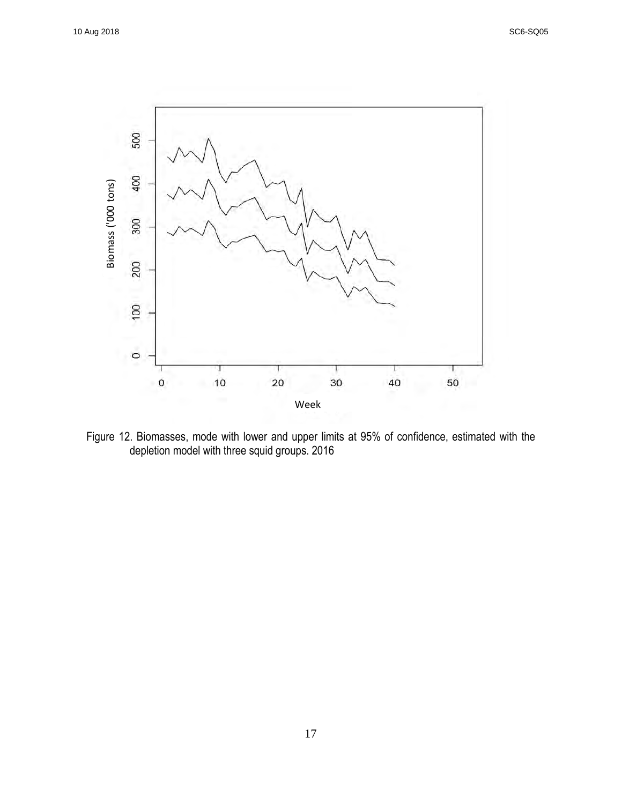

Figure 12. Biomasses, mode with lower and upper limits at 95% of confidence, estimated with the depletion model with three squid groups. 2016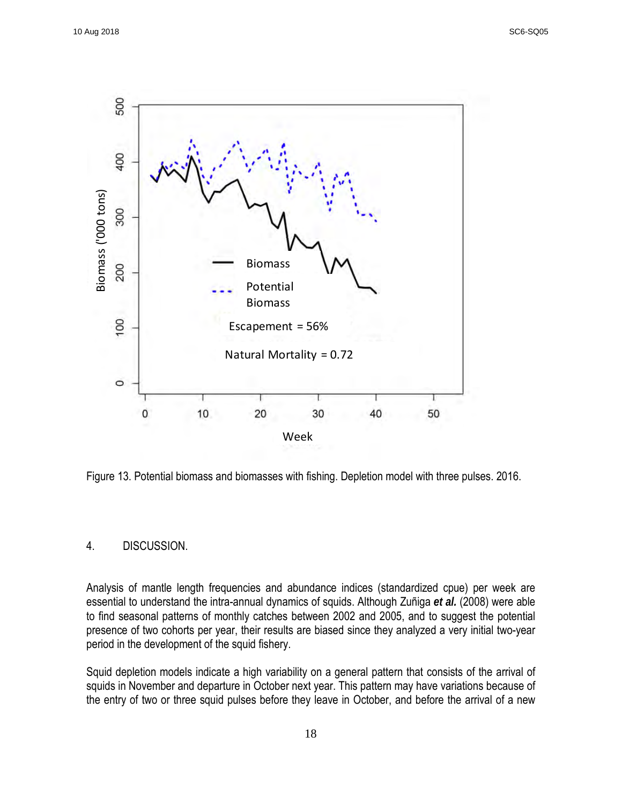

Figure 13. Potential biomass and biomasses with fishing. Depletion model with three pulses. 2016.

#### <span id="page-18-0"></span>4. DISCUSSION.

Analysis of mantle length frequencies and abundance indices (standardized cpue) per week are essential to understand the intra-annual dynamics of squids. Although Zuñiga *et al.* (2008) were able to find seasonal patterns of monthly catches between 2002 and 2005, and to suggest the potential presence of two cohorts per year, their results are biased since they analyzed a very initial two-year period in the development of the squid fishery.

Squid depletion models indicate a high variability on a general pattern that consists of the arrival of squids in November and departure in October next year. This pattern may have variations because of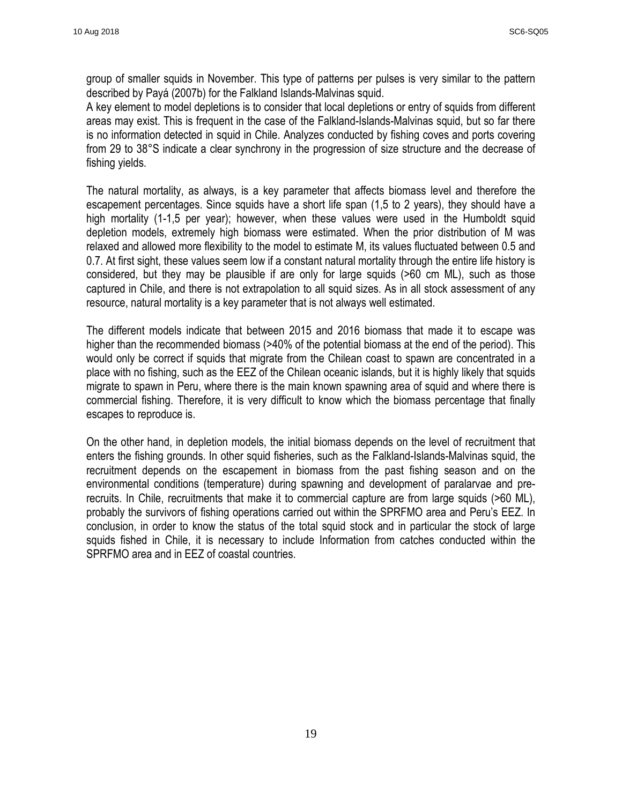group of smaller squids in November. This type of patterns per pulses is very similar to the pattern described by Payá (2007b) for the Falkland Islands-Malvinas squid.

A key element to model depletions is to consider that local depletions or entry of squids from different areas may exist. This is frequent in the case of the Falkland-Islands-Malvinas squid, but so far there is no information detected in squid in Chile. Analyzes conducted by fishing coves and ports covering from 29 to 38°S indicate a clear synchrony in the progression of size structure and the decrease of fishing yields.

The natural mortality, as always, is a key parameter that affects biomass level and therefore the escapement percentages. Since squids have a short life span (1,5 to 2 years), they should have a high mortality (1-1,5 per year); however, when these values were used in the Humboldt squid depletion models, extremely high biomass were estimated. When the prior distribution of M was relaxed and allowed more flexibility to the model to estimate M, its values fluctuated between 0.5 and 0.7. At first sight, these values seem low if a constant natural mortality through the entire life history is considered, but they may be plausible if are only for large squids (>60 cm ML), such as those captured in Chile, and there is not extrapolation to all squid sizes. As in all stock assessment of any resource, natural mortality is a key parameter that is not always well estimated.

The different models indicate that between 2015 and 2016 biomass that made it to escape was higher than the recommended biomass (>40% of the potential biomass at the end of the period). This would only be correct if squids that migrate from the Chilean coast to spawn are concentrated in a place with no fishing, such as the EEZ of the Chilean oceanic islands, but it is highly likely that squids migrate to spawn in Peru, where there is the main known spawning area of squid and where there is commercial fishing. Therefore, it is very difficult to know which the biomass percentage that finally escapes to reproduce is.

On the other hand, in depletion models, the initial biomass depends on the level of recruitment that enters the fishing grounds. In other squid fisheries, such as the Falkland-Islands-Malvinas squid, the recruitment depends on the escapement in biomass from the past fishing season and on the environmental conditions (temperature) during spawning and development of paralarvae and prerecruits. In Chile, recruitments that make it to commercial capture are from large squids (>60 ML), probably the survivors of fishing operations carried out within the SPRFMO area and Peru's EEZ. In conclusion, in order to know the status of the total squid stock and in particular the stock of large squids fished in Chile, it is necessary to include Information from catches conducted within the SPRFMO area and in EEZ of coastal countries.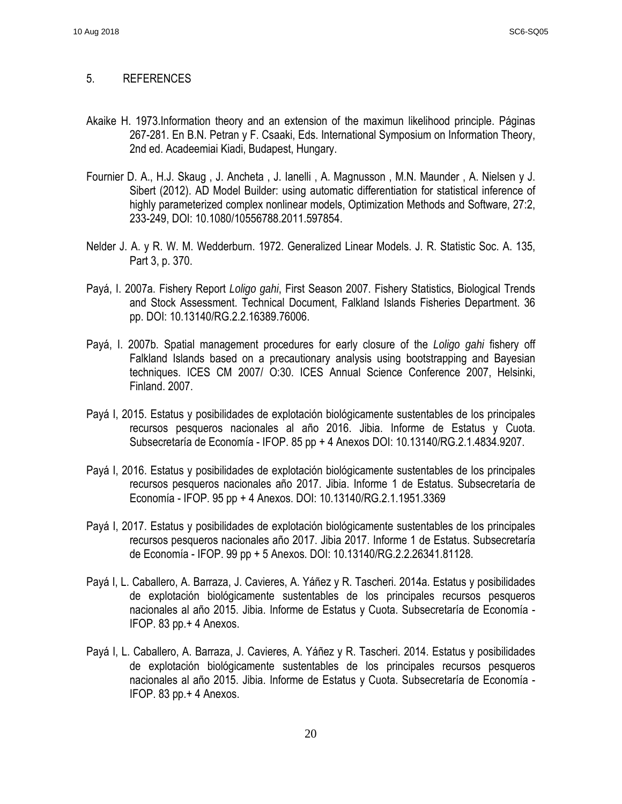#### <span id="page-20-0"></span>5. REFERENCES

- Akaike H. 1973.Information theory and an extension of the maximun likelihood principle. Páginas 267-281. En B.N. Petran y F. Csaaki, Eds. International Symposium on Information Theory, 2nd ed. Acadeemiai Kiadi, Budapest, Hungary.
- Fournier D. A., H.J. Skaug , J. Ancheta , J. Ianelli , A. Magnusson , M.N. Maunder , A. Nielsen y J. Sibert (2012). AD Model Builder: using automatic differentiation for statistical inference of highly parameterized complex nonlinear models, Optimization Methods and Software, 27:2, 233-249, DOI: 10.1080/10556788.2011.597854.
- Nelder J. A. y R. W. M. Wedderburn. 1972. Generalized Linear Models. J. R. Statistic Soc. A. 135, Part 3, p. 370.
- Payá, I. 2007a. Fishery Report *Loligo gahi*, First Season 2007. Fishery Statistics, Biological Trends and Stock Assessment. Technical Document, Falkland Islands Fisheries Department. 36 pp. DOI: 10.13140/RG.2.2.16389.76006.
- Payá, I. 2007b. Spatial management procedures for early closure of the *Loligo gahi* fishery off Falkland Islands based on a precautionary analysis using bootstrapping and Bayesian techniques. ICES CM 2007/ O:30. ICES Annual Science Conference 2007, Helsinki, Finland. 2007.
- Payá I, 2015. Estatus y posibilidades de explotación biológicamente sustentables de los principales recursos pesqueros nacionales al año 2016. Jibia. Informe de Estatus y Cuota. Subsecretaría de Economía - IFOP. 85 pp + 4 Anexos DOI: 10.13140/RG.2.1.4834.9207.
- Payá I, 2016. Estatus y posibilidades de explotación biológicamente sustentables de los principales recursos pesqueros nacionales año 2017. Jibia. Informe 1 de Estatus. Subsecretaría de Economía - IFOP. 95 pp + 4 Anexos. DOI: 10.13140/RG.2.1.1951.3369
- Payá I, 2017. Estatus y posibilidades de explotación biológicamente sustentables de los principales recursos pesqueros nacionales año 2017. Jibia 2017. Informe 1 de Estatus. Subsecretaría de Economía - IFOP. 99 pp + 5 Anexos. DOI: 10.13140/RG.2.2.26341.81128.
- Payá I, L. Caballero, A. Barraza, J. Cavieres, A. Yáñez y R. Tascheri. 2014a. Estatus y posibilidades de explotación biológicamente sustentables de los principales recursos pesqueros nacionales al año 2015. Jibia. Informe de Estatus y Cuota. Subsecretaría de Economía - IFOP. 83 pp.+ 4 Anexos.
- Payá I, L. Caballero, A. Barraza, J. Cavieres, A. Yáñez y R. Tascheri. 2014. Estatus y posibilidades de explotación biológicamente sustentables de los principales recursos pesqueros nacionales al año 2015. Jibia. Informe de Estatus y Cuota. Subsecretaría de Economía - IFOP. 83 pp.+ 4 Anexos.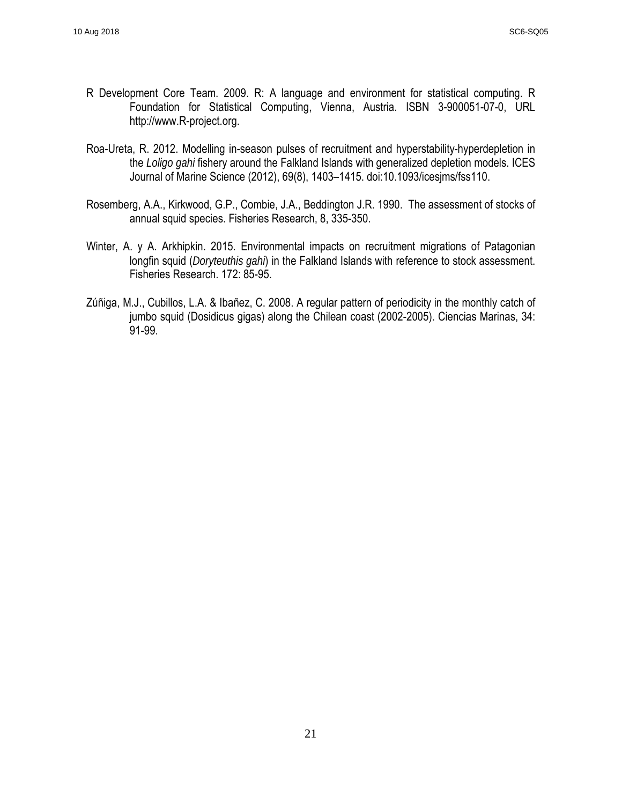- R Development Core Team. 2009. R: A language and environment for statistical computing. R Foundation for Statistical Computing, Vienna, Austria. ISBN 3-900051-07-0, URL [http://www.R-project.org.](http://www.r-project.org/)
- Roa-Ureta, R. 2012. Modelling in-season pulses of recruitment and hyperstability-hyperdepletion in the *Loligo gahi* fishery around the Falkland Islands with generalized depletion models. ICES Journal of Marine Science (2012), 69(8), 1403–1415. doi:10.1093/icesjms/fss110.
- Rosemberg, A.A., Kirkwood, G.P., Combie, J.A., Beddington J.R. 1990. The assessment of stocks of annual squid species. Fisheries Research, 8, 335-350.
- Winter, A. y A. Arkhipkin. 2015. Environmental impacts on recruitment migrations of Patagonian longfin squid (*Doryteuthis gahi*) in the Falkland Islands with reference to stock assessment. Fisheries Research. 172: 85-95.
- Zúñiga, M.J., Cubillos, L.A. & Ibañez, C. 2008. A regular pattern of periodicity in the monthly catch of jumbo squid (Dosidicus gigas) along the Chilean coast (2002-2005). Ciencias Marinas, 34: 91-99.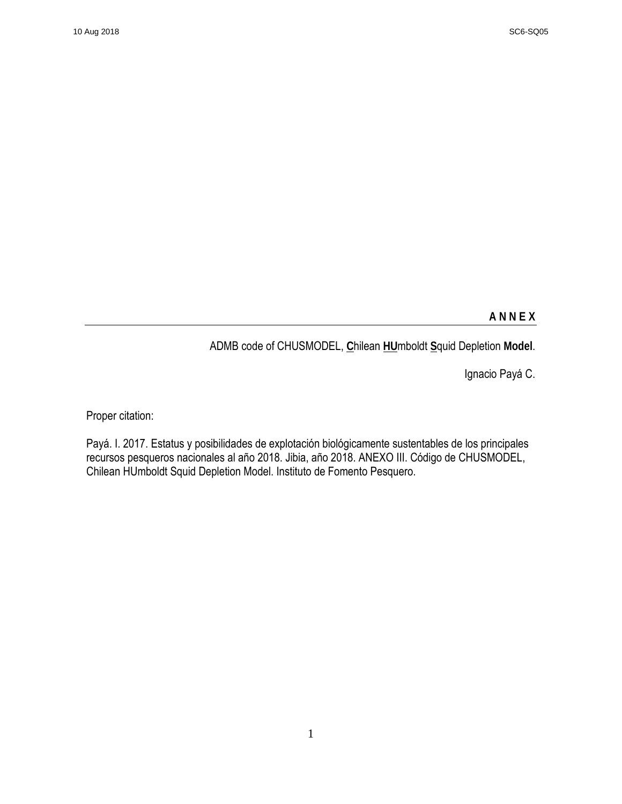## **A N N E X**

ADMB code of CHUSMODEL, **C**hilean **HU**mboldt **S**quid Depletion **Model**.

Ignacio Payá C.

Proper citation:

Payá. I. 2017. Estatus y posibilidades de explotación biológicamente sustentables de los principales recursos pesqueros nacionales al año 2018. Jibia, año 2018. ANEXO III. Código de CHUSMODEL, Chilean HUmboldt Squid Depletion Model. Instituto de Fomento Pesquero.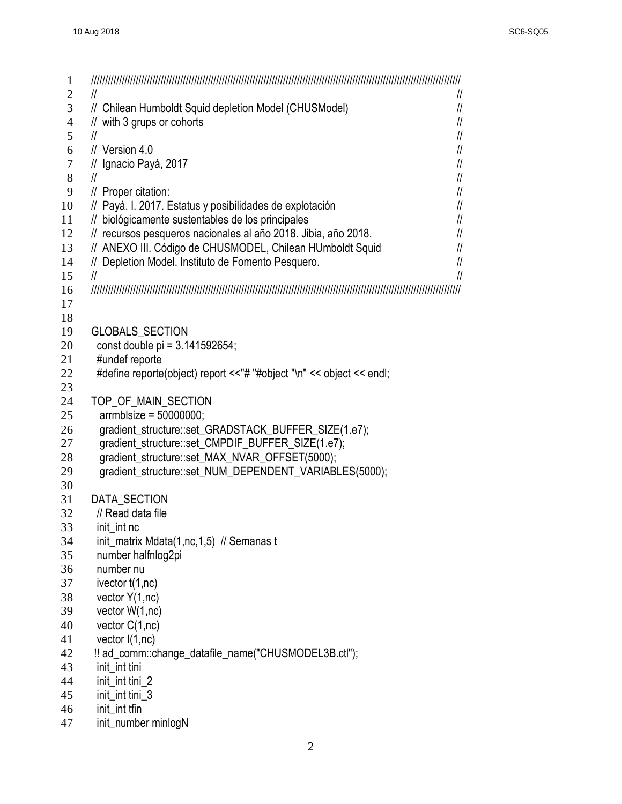| 1              |                                                                                                               |                                |
|----------------|---------------------------------------------------------------------------------------------------------------|--------------------------------|
| $\overline{2}$ | $\mathcal{U}$                                                                                                 | $\mathcal{U}$                  |
| 3              | // Chilean Humboldt Squid depletion Model (CHUSModel)                                                         | $\mathcal{U}$                  |
| 4              | // with 3 grups or cohorts                                                                                    | $\mathcal{U}$                  |
| 5              | $\mathcal{U}$                                                                                                 | $\mathcal{U}$                  |
| 6              | $\frac{1}{2}$ Version 4.0                                                                                     | $\mathcal{U}$                  |
| $\tau$<br>8    | // Ignacio Payá, 2017                                                                                         | $\mathcal{U}$<br>$\mathcal{U}$ |
| 9              | $\mathcal{U}$<br>// Proper citation:                                                                          | $\mathcal{U}$                  |
| 10             |                                                                                                               | $\mathcal{U}$                  |
| 11             | // Payá. I. 2017. Estatus y posibilidades de explotación<br>// biológicamente sustentables de los principales | $\mathcal{U}$                  |
| 12             | // recursos pesqueros nacionales al año 2018. Jibia, año 2018.                                                | $\mathcal{U}$                  |
| 13             | // ANEXO III. Código de CHUSMODEL, Chilean HUmboldt Squid                                                     | 11                             |
| 14             | // Depletion Model. Instituto de Fomento Pesquero.                                                            | $\frac{1}{2}$                  |
| 15             | $\mathcal{U}$                                                                                                 | $\mathcal{U}$                  |
| 16             |                                                                                                               |                                |
| 17             |                                                                                                               |                                |
| 18             |                                                                                                               |                                |
| 19             | GLOBALS_SECTION                                                                                               |                                |
| 20             | const double pi = 3.141592654;                                                                                |                                |
| 21             | #undef reporte                                                                                                |                                |
| 22             | #define reporte(object) report <<"# "#object "\n" << object << endl;                                          |                                |
| 23             |                                                                                                               |                                |
| 24             | TOP_OF_MAIN_SECTION                                                                                           |                                |
| 25             | $armblsize = 50000000;$                                                                                       |                                |
| 26             | gradient_structure::set_GRADSTACK_BUFFER_SIZE(1.e7);                                                          |                                |
| 27             | gradient_structure::set_CMPDIF_BUFFER_SIZE(1.e7);                                                             |                                |
| 28             | gradient_structure::set_MAX_NVAR_OFFSET(5000);                                                                |                                |
| 29             | gradient structure::set NUM DEPENDENT VARIABLES(5000);                                                        |                                |
| 30             |                                                                                                               |                                |
| 31             | <b>DATA SECTION</b>                                                                                           |                                |
| 32             | // Read data file                                                                                             |                                |
| 33             | init_int nc                                                                                                   |                                |
| 34             | init_matrix Mdata(1,nc,1,5) // Semanas t                                                                      |                                |
| 35             | number halfnlog2pi                                                                                            |                                |
| 36             | number nu                                                                                                     |                                |
| 37             | ivector t(1,nc)                                                                                               |                                |
| 38             | vector $Y(1,nc)$                                                                                              |                                |
| 39             | vector $W(1,nc)$                                                                                              |                                |
| 40             | vector $C(1,nc)$                                                                                              |                                |
| 41             | vector $I(1,nc)$                                                                                              |                                |
| 42             | !! ad_comm::change_datafile_name("CHUSMODEL3B.ctl");                                                          |                                |
| 43             | init_int tini                                                                                                 |                                |
| 44             | init_int tini_2                                                                                               |                                |
| 45             | init_int tini_3                                                                                               |                                |
| 46             | init int tfin                                                                                                 |                                |
| 47             | init_number minlogN                                                                                           |                                |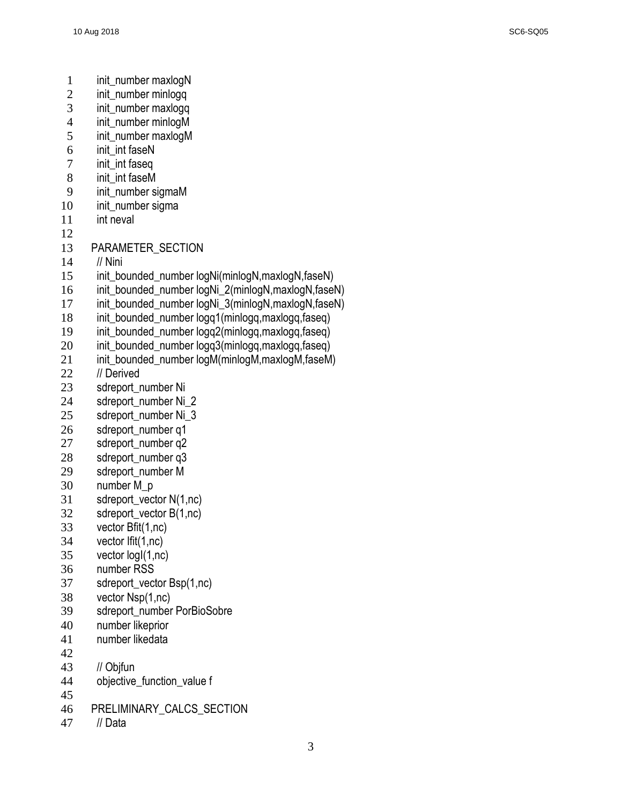- 1 init\_number maxlogN<br>2 init\_number minlogg
- init\_number minlogg
- init\_number maxlogq
- 4 init\_number minlogM<br>5 init\_number maxlogM
- init\_number maxlogM
- 6 init\_int faseN
- init\_int faseq
- 8 init\_int faseM
- init\_number sigmaM
- 10 init\_number sigma
- 11 int neval
- 
- PARAMETER\_SECTION
- // Nini
- 15 init\_bounded\_number logNi(minlogN,maxlogN,faseN)
- init\_bounded\_number logNi\_2(minlogN,maxlogN,faseN)
- 17 init\_bounded\_number logNi\_3(minlogN,maxlogN,faseN)
- init\_bounded\_number logq1(minlogq,maxlogq,faseq)
- init\_bounded\_number logq2(minlogq,maxlogq,faseq)
- init\_bounded\_number logq3(minlogq,maxlogq,faseq)
- 21 init\_bounded\_number logM(minlogM,maxlogM,faseM)
- 22 // Derived
- 23 sdreport\_number Ni
- 24 sdreport\_number Ni\_2
- 25 sdreport number Ni\_3
- sdreport\_number q1
- 27 sdreport\_number q2
- sdreport\_number q3
- sdreport\_number M
- number M\_p
- sdreport\_vector N(1,nc)
- sdreport\_vector B(1,nc)
- vector Bfit(1,nc)
- vector Ifit(1,nc)
- vector logI(1,nc)
- number RSS
- sdreport\_vector Bsp(1,nc)
- vector Nsp(1,nc)
- 39 sdreport\_number PorBioSobre
- number likeprior
- number likedata
- 
- // Objfun
- objective\_function\_value f
- 
- PRELIMINARY\_CALCS\_SECTION
- // Data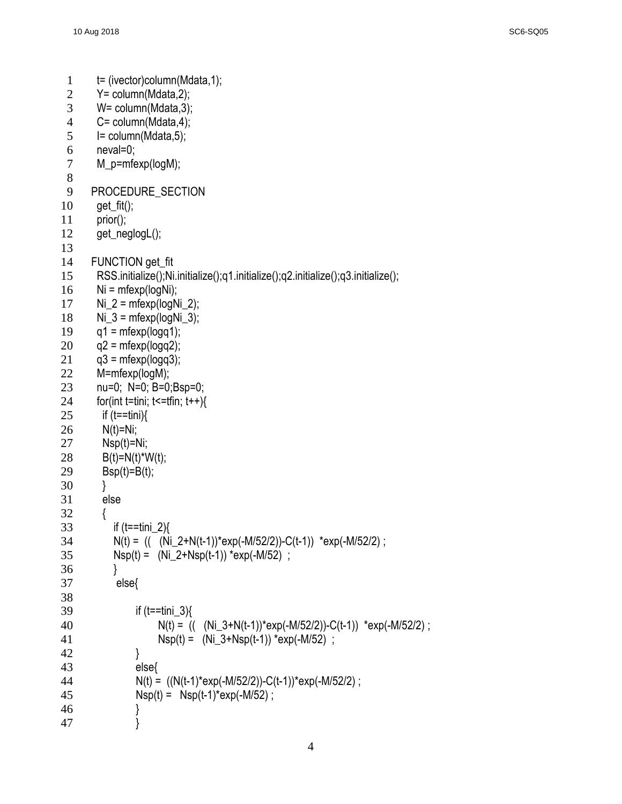```
1 t= (ivector)column(Mdata, 1);
 2 Y= column(Mdata,2);
 3 W= column(Mdata,3);
 4 C = \text{column}(\text{Mdata}, 4);<br>
5 = \text{column}(\text{Mdata}, 5);I= column(Mdata,5);
 6 neval=0;
 7 M_p=mfexp(logM); 
 8 
 9 PROCEDURE SECTION
10 get_fit();
11 prior();
12 get_neglogL(); 
13 
14 FUNCTION get_fit
15 RSS.initialize();Ni.initialize();q1.initialize();q2.initialize();q3.initialize();
16 Ni = mfexp(logNi);
17 Ni_2 = mfexp(logNi_2);
18 Ni_3 = mfexp(logNi_3);
19 q1 = mfexp(logq1);20 \text{ q2} = \text{mfexp}(\text{logq2});21 \qquad q3 = mfexp(logq3);22 M=mfexp(logM); 
23 nu=0; N=0; B=0;Bsp=0;
24 for(int t=tini; t <= tfin; t++\}{
25 if (t=tini)26 N(t)=Ni;
27 Nsp(t)=Ni;
28 B(t)=N(t)*W(t);
29 Bsp(t)=B(t);
30 } 
31 else
32 { 
33 if (t=tini_2)34 N(t) = (( (Ni_2+N(t-1))*exp(-M/52/2))-C(t-1)) *exp(-M/52/2) ;
35 Nsp(t) = (Ni_2+Nsp(t-1)) * exp(-M/52);
36 } 
37 else{ 
38 
39 if (t=1ini 3)\{40 N(t) = ((Ni_3+N(t-1))^*exp(-M/52/2)) - C(t-1)) * exp(-M/52/2);
41 Nsp(t) = (Ni_3 + Nsp(t-1)) * exp(-M/52);
42 } 
43 else{ 
44 N(t) = ((N(t-1)*exp(-M/52/2)) - C(t-1))*exp(-M/52/2);
45 Nsp(t) = Nsp(t-1)*exp(-M/52);
\begin{array}{cc} 46 & & \phantom{0} \\ 47 & & \phantom{0} \end{array}47 }
```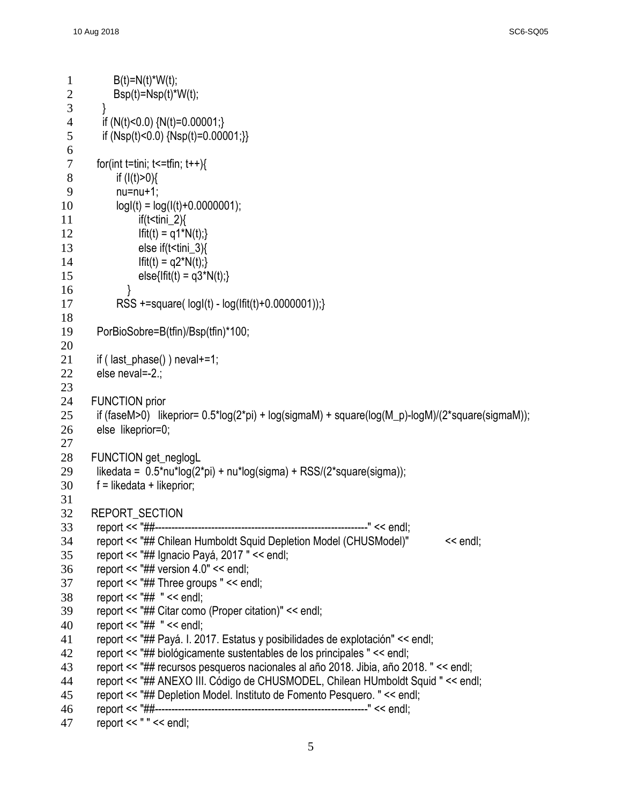```
1 B(t)=N(t)^*W(t);2 Bsp(t)=Nsp(t)*W(t);3 } 
 4 if (N(t)<0.0) {N(t)=0.00001;}
 5 if (Nsp(t)<0.0) {Nsp(t)=0.00001;}}
 6<br>7
       for(int t=tini; t\le=tfin; t++){
 8 if (l(t) > 0)9 nu=nu+1; 
10 log(t) = log(t(t) + 0.0000001);
11 if(t < tini 2)\{12 If If(t) = q1^*N(t);13 else if(t < tini 3)\{14 If it(t) = q2^*N(t);15 else{lfit(t) = q3*N(t);}
16 } 
17 RSS +=square( logI(t) - log(Ifit(t)+0.0000001));}
18 
19 PorBioSobre=B(tfin)/Bsp(tfin)*100;
20 
21 if ( last_phase() ) neval+=1;
22 else neval=-2.; 
23 
24 FUNCTION prior
25 if (faseM>0) likeprior= 0.5*log(2*pi) + log(sigmaM) + square(log(M_p)-logM)/(2*square(sigmaM));
26 else likeprior=0;
27 
28 FUNCTION get_neglogL
29 likedata = 0.5*nu*log(2*pi) + nu*log(sigma) + RSS/(2*square(sigma));
30 \qquad f = likedata + likeprior;
31 
32 REPORT_SECTION 
33 report << "##----------------------------------------------------------------" << endl;
34 report << "## Chilean Humboldt Squid Depletion Model (CHUSModel)" << endl;
35 report << "## Ignacio Payá, 2017 " << endl;
36 report << "## version 4.0" << endl;
37 report << "## Three groups " << endl;
38 report << "## " << endl;
39 report << "## Citar como (Proper citation)" << endl; 
40 report << "## " << endl;
41 report << "## Payá. I. 2017. Estatus y posibilidades de explotación" << endl; 
42 report << "## biológicamente sustentables de los principales " << endl;
43 report << "## recursos pesqueros nacionales al año 2018. Jibia, año 2018. " << endl;
44 report << "## ANEXO III. Código de CHUSMODEL, Chilean HUmboldt Squid " << endl;
45 report << "## Depletion Model. Instituto de Fomento Pesquero. " << endl;
46 report << "##----------------------------------------------------------------" << endl;
47 report << " " << endl;
```